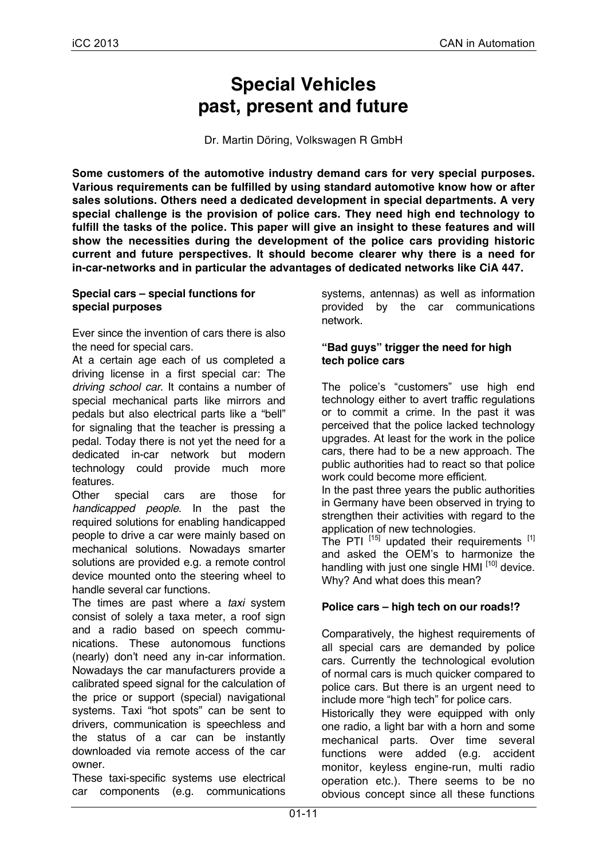# **Special Vehicles past, present and future**

Dr. Martin Döring, Volkswagen R GmbH

**Some customers of the automotive industry demand cars for very special purposes. Various requirements can be fulfilled by using standard automotive know how or after sales solutions. Others need a dedicated development in special departments. A very special challenge is the provision of police cars. They need high end technology to fulfill the tasks of the police. This paper will give an insight to these features and will show the necessities during the development of the police cars providing historic current and future perspectives. It should become clearer why there is a need for in-car-networks and in particular the advantages of dedicated networks like CiA 447.**

#### **Special cars – special functions for special purposes**

Ever since the invention of cars there is also the need for special cars.

At a certain age each of us completed a driving license in a first special car: The *driving school car*. It contains a number of special mechanical parts like mirrors and pedals but also electrical parts like a "bell" for signaling that the teacher is pressing a pedal. Today there is not yet the need for a dedicated in-car network but modern technology could provide much more features.

Other special cars are those for *handicapped people*. In the past the required solutions for enabling handicapped people to drive a car were mainly based on mechanical solutions. Nowadays smarter solutions are provided e.g. a remote control device mounted onto the steering wheel to handle several car functions.

The times are past where a *taxi* system consist of solely a taxa meter, a roof sign and a radio based on speech communications. These autonomous functions (nearly) don't need any in-car information. Nowadays the car manufacturers provide a calibrated speed signal for the calculation of the price or support (special) navigational systems. Taxi "hot spots" can be sent to drivers, communication is speechless and the status of a car can be instantly downloaded via remote access of the car owner.

These taxi-specific systems use electrical car components (e.g. communications systems, antennas) as well as information provided by the car communications network.

#### **"Bad guys" trigger the need for high tech police cars**

The police's "customers" use high end technology either to avert traffic regulations or to commit a crime. In the past it was perceived that the police lacked technology upgrades. At least for the work in the police cars, there had to be a new approach. The public authorities had to react so that police work could become more efficient.

In the past three years the public authorities in Germany have been observed in trying to strengthen their activities with regard to the application of new technologies.

The PTI  $^{[15]}$  updated their requirements  $^{[1]}$ and asked the OEM's to harmonize the handling with just one single HMI [10] device. Why? And what does this mean?

# **Police cars – high tech on our roads!?**

Comparatively, the highest requirements of all special cars are demanded by police cars. Currently the technological evolution of normal cars is much quicker compared to police cars. But there is an urgent need to include more "high tech" for police cars.

Historically they were equipped with only one radio, a light bar with a horn and some mechanical parts. Over time several functions were added (e.g. accident monitor, keyless engine-run, multi radio operation etc.). There seems to be no obvious concept since all these functions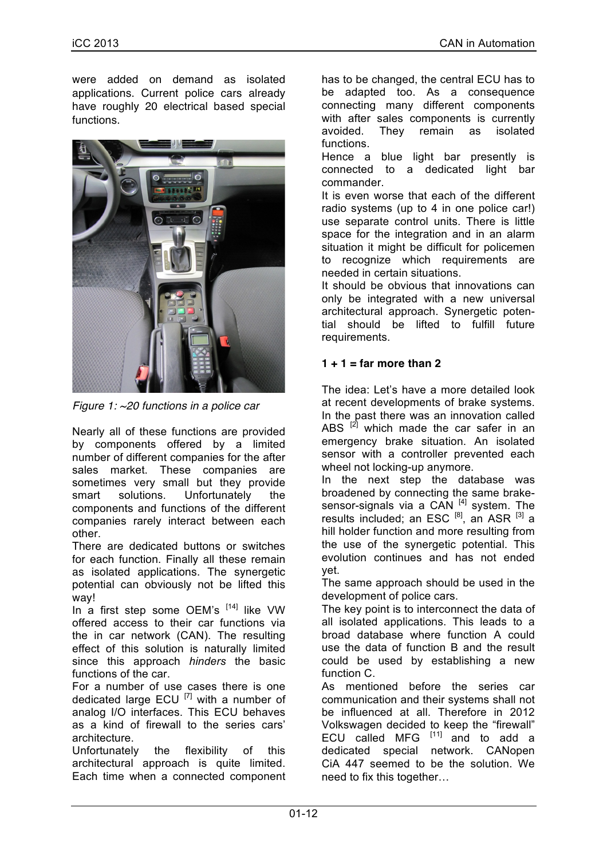were added on demand as isolated applications. Current police cars already have roughly 20 electrical based special functions.



*Figure 1: ~20 functions in a police car* 

Nearly all of these functions are provided by components offered by a limited number of different companies for the after sales market. These companies are sometimes very small but they provide smart solutions. Unfortunately the components and functions of the different companies rarely interact between each other.

There are dedicated buttons or switches for each function. Finally all these remain as isolated applications. The synergetic potential can obviously not be lifted this way!

In a first step some OEM's  $[14]$  like VW offered access to their car functions via the in car network (CAN). The resulting effect of this solution is naturally limited since this approach *hinders* the basic functions of the car.

For a number of use cases there is one dedicated large  $ECU$ <sup>[7]</sup> with a number of analog I/O interfaces. This ECU behaves as a kind of firewall to the series cars' architecture.

Unfortunately the flexibility of this architectural approach is quite limited. Each time when a connected component has to be changed, the central ECU has to be adapted too. As a consequence connecting many different components with after sales components is currently avoided. They remain as isolated functions.

Hence a blue light bar presently is connected to a dedicated light bar commander.

It is even worse that each of the different radio systems (up to 4 in one police car!) use separate control units. There is little space for the integration and in an alarm situation it might be difficult for policemen to recognize which requirements are needed in certain situations.

It should be obvious that innovations can only be integrated with a new universal architectural approach. Synergetic potential should be lifted to fulfill future requirements.

# **1 + 1 = far more than 2**

The idea: Let's have a more detailed look at recent developments of brake systems. In the past there was an innovation called ABS  $[2]$  which made the car safer in an emergency brake situation. An isolated sensor with a controller prevented each wheel not locking-up anymore.

In the next step the database was broadened by connecting the same brakesensor-signals via a CAN  $[4]$  system. The results included; an ESC  $^{[8]}$ , an ASR  $^{[3]}$  a hill holder function and more resulting from the use of the synergetic potential. This evolution continues and has not ended yet.

The same approach should be used in the development of police cars.

The key point is to interconnect the data of all isolated applications. This leads to a broad database where function A could use the data of function B and the result could be used by establishing a new function C.

As mentioned before the series car communication and their systems shall not be influenced at all. Therefore in 2012 Volkswagen decided to keep the "firewall" ECU called MFG  $[11]$  and to add a dedicated special network. CANopen CiA 447 seemed to be the solution. We need to fix this together…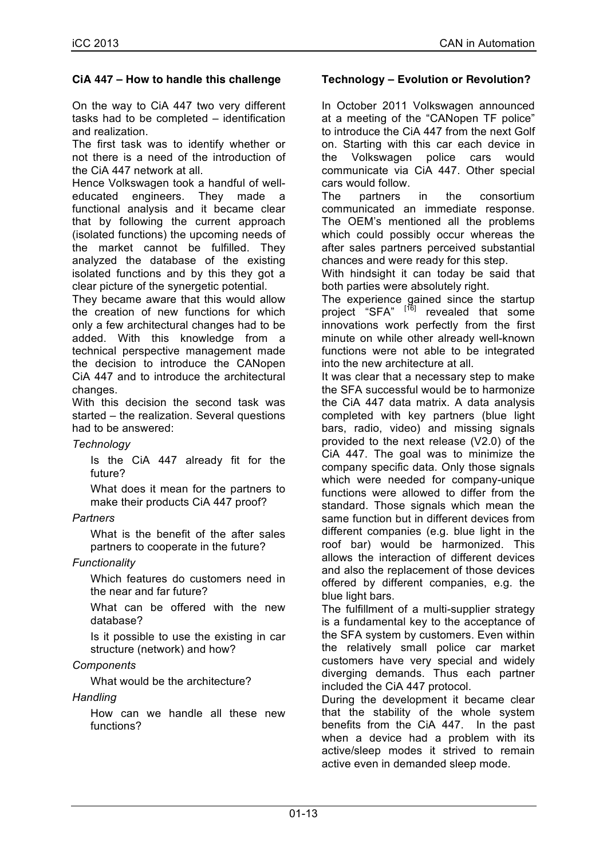# **CiA 447 – How to handle this challenge**

On the way to CiA 447 two very different tasks had to be completed – identification and realization.

The first task was to identify whether or not there is a need of the introduction of the CiA 447 network at all.

Hence Volkswagen took a handful of welleducated engineers. They made a functional analysis and it became clear that by following the current approach (isolated functions) the upcoming needs of the market cannot be fulfilled. They analyzed the database of the existing isolated functions and by this they got a clear picture of the synergetic potential.

They became aware that this would allow the creation of new functions for which only a few architectural changes had to be added. With this knowledge from a technical perspective management made the decision to introduce the CANopen CiA 447 and to introduce the architectural changes.

With this decision the second task was started – the realization. Several questions had to be answered:

#### *Technology*

Is the CiA 447 already fit for the future?

What does it mean for the partners to make their products CiA 447 proof?

# *Partners*

What is the benefit of the after sales partners to cooperate in the future?

#### *Functionality*

Which features do customers need in the near and far future?

What can be offered with the new database?

Is it possible to use the existing in car structure (network) and how?

#### *Components*

What would be the architecture?

#### *Handling*

How can we handle all these new functions?

#### **Technology – Evolution or Revolution?**

In October 2011 Volkswagen announced at a meeting of the "CANopen TF police" to introduce the CiA 447 from the next Golf on. Starting with this car each device in the Volkswagen police cars would communicate via CiA 447. Other special cars would follow.

The partners in the consortium communicated an immediate response. The OEM's mentioned all the problems which could possibly occur whereas the after sales partners perceived substantial chances and were ready for this step.

With hindsight it can today be said that both parties were absolutely right.

The experience gained since the startup project "SFA" [<sup>16]</sup> revealed that some innovations work perfectly from the first minute on while other already well-known functions were not able to be integrated into the new architecture at all.

It was clear that a necessary step to make the SFA successful would be to harmonize the CiA 447 data matrix. A data analysis completed with key partners (blue light bars, radio, video) and missing signals provided to the next release (V2.0) of the CiA 447. The goal was to minimize the company specific data. Only those signals which were needed for company-unique functions were allowed to differ from the standard. Those signals which mean the same function but in different devices from different companies (e.g. blue light in the roof bar) would be harmonized. This allows the interaction of different devices and also the replacement of those devices offered by different companies, e.g. the blue light bars.

The fulfillment of a multi-supplier strategy is a fundamental key to the acceptance of the SFA system by customers. Even within the relatively small police car market customers have very special and widely diverging demands. Thus each partner included the CiA 447 protocol.

During the development it became clear that the stability of the whole system benefits from the CiA 447. In the past when a device had a problem with its active/sleep modes it strived to remain active even in demanded sleep mode.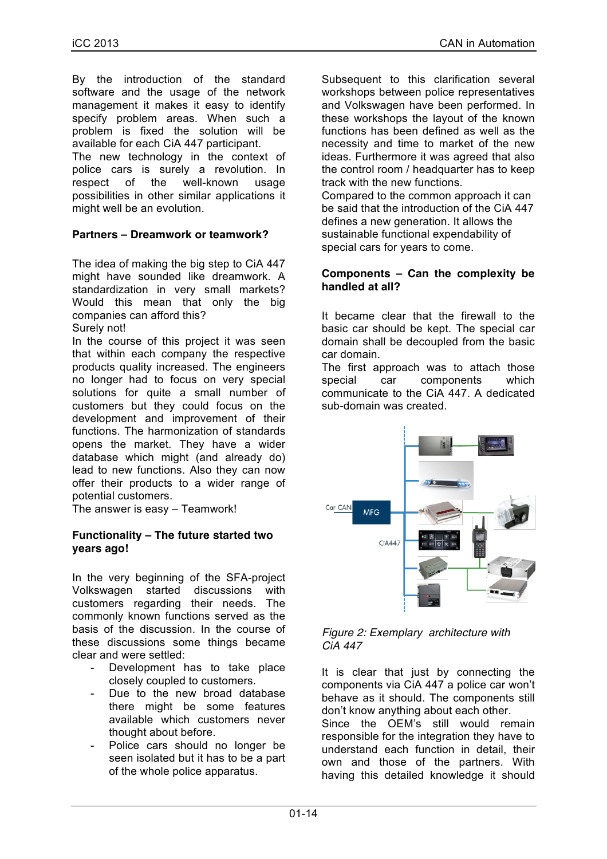By the introduction of the standard software and the usage of the network management it makes it easy to identify specify problem areas. When such a problem is fixed the solution will be available for each CiA 447 participant.

The new technology in the context of police cars is surely a revolution. In respect of the well-known usage possibilities in other similar applications it might well be an evolution.

#### **Partners – Dreamwork or teamwork?**

The idea of making the big step to CiA 447 might have sounded like dreamwork. A standardization in very small markets? Would this mean that only the big companies can afford this? Surely not!

In the course of this project it was seen that within each company the respective products quality increased. The engineers no longer had to focus on very special solutions for quite a small number of customers but they could focus on the development and improvement of their functions. The harmonization of standards opens the market. They have a wider database which might (and already do)

potential customers. The answer is easy – Teamwork!

# **Functionality – The future started two years ago!**

lead to new functions. Also they can now offer their products to a wider range of

In the very beginning of the SFA-project Volkswagen started discussions with customers regarding their needs. The commonly known functions served as the basis of the discussion. In the course of these discussions some things became clear and were settled:

- Development has to take place closely coupled to customers.
- Due to the new broad database there might be some features available which customers never thought about before.
- Police cars should no longer be seen isolated but it has to be a part of the whole police apparatus.

Subsequent to this clarification several workshops between police representatives and Volkswagen have been performed. In these workshops the layout of the known functions has been defined as well as the necessity and time to market of the new ideas. Furthermore it was agreed that also the control room / headquarter has to keep track with the new functions.

Compared to the common approach it can be said that the introduction of the CiA 447 defines a new generation. It allows the sustainable functional expendability of special cars for years to come.

#### **Components – Can the complexity be handled at all?**

It became clear that the firewall to the basic car should be kept. The special car domain shall be decoupled from the basic car domain.

The first approach was to attach those special car components which communicate to the CiA 447. A dedicated sub-domain was created.



*Figure 2: Exemplary architecture with CiA 447*

It is clear that just by connecting the components via CiA 447 a police car won't behave as it should. The components still don't know anything about each other.

Since the OEM's still would remain responsible for the integration they have to understand each function in detail, their own and those of the partners. With having this detailed knowledge it should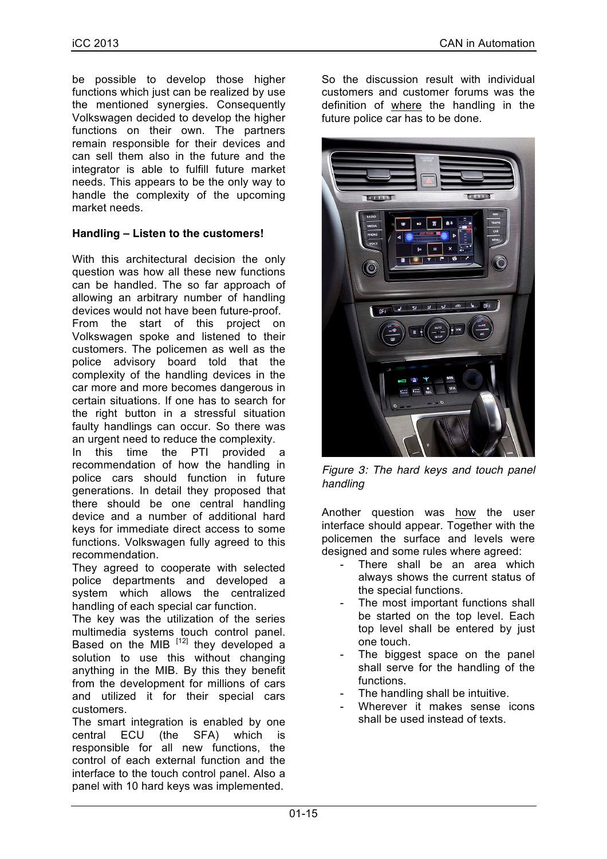be possible to develop those higher functions which just can be realized by use the mentioned synergies. Consequently Volkswagen decided to develop the higher functions on their own. The partners remain responsible for their devices and can sell them also in the future and the integrator is able to fulfill future market needs. This appears to be the only way to handle the complexity of the upcoming market needs.

# **Handling – Listen to the customers!**

With this architectural decision the only question was how all these new functions can be handled. The so far approach of allowing an arbitrary number of handling devices would not have been future-proof. From the start of this project on Volkswagen spoke and listened to their customers. The policemen as well as the police advisory board told that the complexity of the handling devices in the car more and more becomes dangerous in certain situations. If one has to search for the right button in a stressful situation faulty handlings can occur. So there was an urgent need to reduce the complexity.

In this time the PTI provided a recommendation of how the handling in police cars should function in future generations. In detail they proposed that there should be one central handling device and a number of additional hard keys for immediate direct access to some functions. Volkswagen fully agreed to this recommendation.

They agreed to cooperate with selected police departments and developed a system which allows the centralized handling of each special car function.

The key was the utilization of the series multimedia systems touch control panel. Based on the MIB  $[12]$  they developed a solution to use this without changing anything in the MIB. By this they benefit from the development for millions of cars and utilized it for their special cars customers.

The smart integration is enabled by one central ECU (the SFA) which is responsible for all new functions, the control of each external function and the interface to the touch control panel. Also a panel with 10 hard keys was implemented.

So the discussion result with individual customers and customer forums was the definition of where the handling in the future police car has to be done.



*Figure 3: The hard keys and touch panel handling*

Another question was how the user interface should appear. Together with the policemen the surface and levels were designed and some rules where agreed:

- There shall be an area which always shows the current status of the special functions.
- The most important functions shall be started on the top level. Each top level shall be entered by just one touch.
- The biggest space on the panel shall serve for the handling of the functions.
- The handling shall be intuitive.
- Wherever it makes sense icons shall be used instead of texts.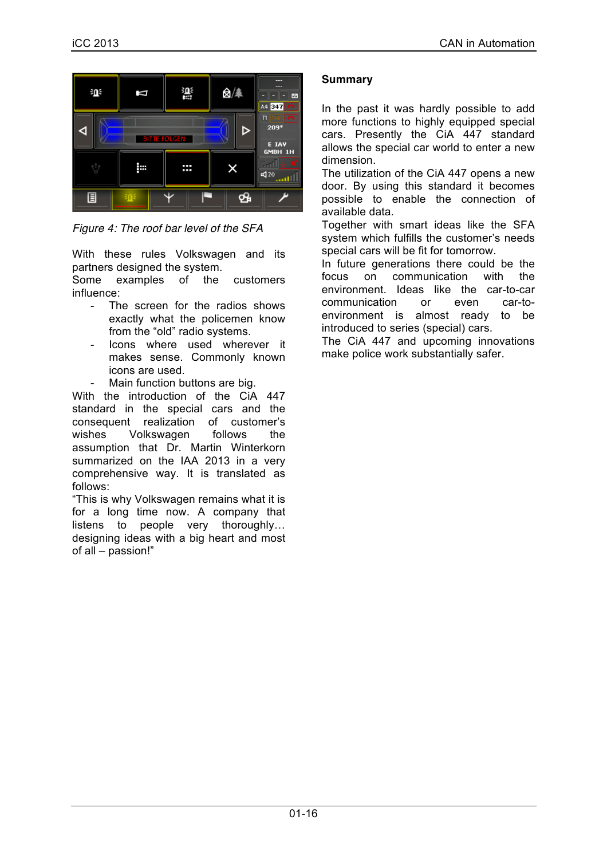

*Figure 4: The roof bar level of the SFA*

With these rules Volkswagen and its partners designed the system.

Some examples of the customers influence:

- The screen for the radios shows exactly what the policemen know from the "old" radio systems.
- lcons where used wherever it makes sense. Commonly known icons are used.
- Main function buttons are big.

With the introduction of the CiA 447 standard in the special cars and the consequent realization of customer's wishes Volkswagen follows the assumption that Dr. Martin Winterkorn summarized on the IAA 2013 in a very comprehensive way. It is translated as follows:

"This is why Volkswagen remains what it is for a long time now. A company that listens to people very thoroughly… designing ideas with a big heart and most of all – passion!"

# **Summary**

In the past it was hardly possible to add more functions to highly equipped special cars. Presently the CiA 447 standard allows the special car world to enter a new dimension.

The utilization of the CiA 447 opens a new door. By using this standard it becomes possible to enable the connection of available data.

Together with smart ideas like the SFA system which fulfills the customer's needs special cars will be fit for tomorrow.

In future generations there could be the focus on communication with the environment. Ideas like the car-to-car communication or even car-toenvironment is almost ready to be introduced to series (special) cars.

The CiA 447 and upcoming innovations make police work substantially safer.